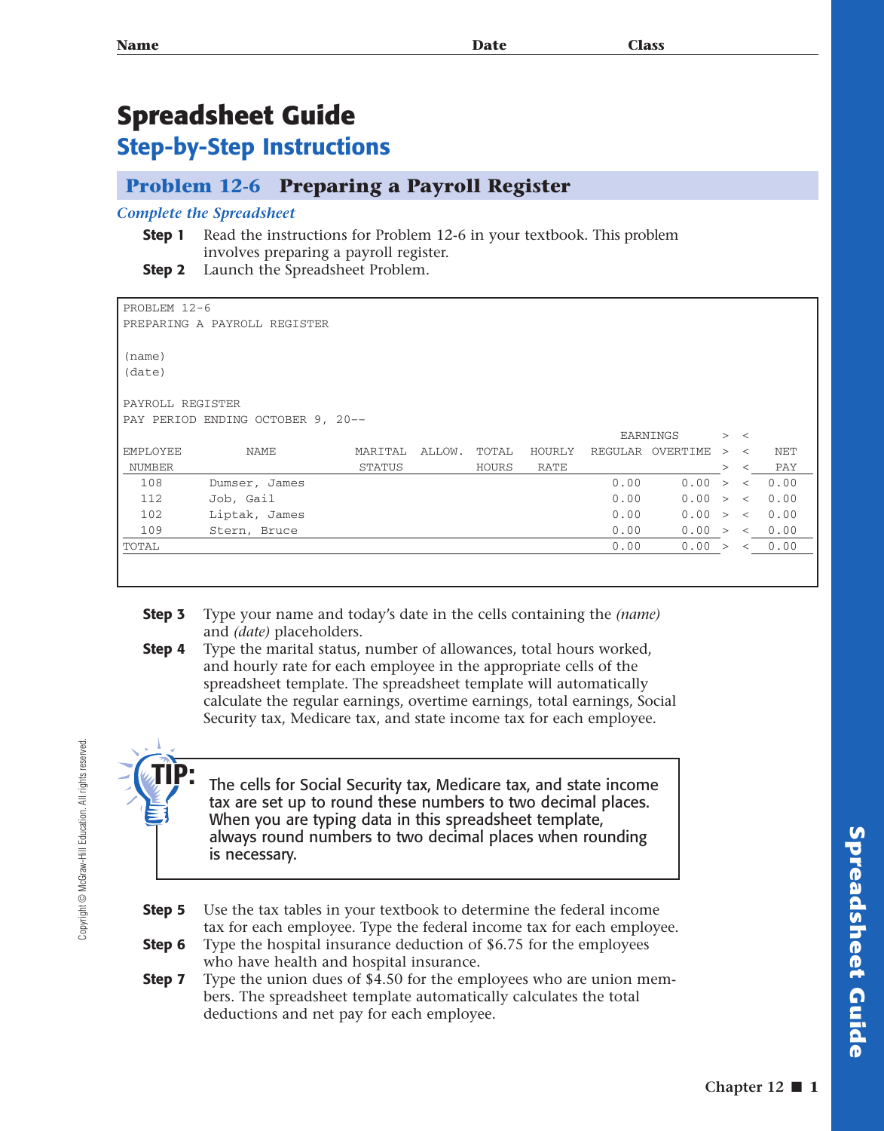## **Spreadsheet Guide**

### **Step-by-Step Instructions**

#### **Problem 12-6 Preparing a Payroll Register**

#### *Complete the Spreadsheet*

- **Step 1** Read the instructions for Problem 12-6 in your textbook. This problem involves preparing a payroll register.
- **Step 2** Launch the Spreadsheet Problem.

| PROBLEM 12-6                       |               |               |        |       |        |      |                  |        |         |      |
|------------------------------------|---------------|---------------|--------|-------|--------|------|------------------|--------|---------|------|
| PREPARING A PAYROLL REGISTER       |               |               |        |       |        |      |                  |        |         |      |
|                                    |               |               |        |       |        |      |                  |        |         |      |
| (name)                             |               |               |        |       |        |      |                  |        |         |      |
| (date)                             |               |               |        |       |        |      |                  |        |         |      |
|                                    |               |               |        |       |        |      |                  |        |         |      |
| PAYROLL REGISTER                   |               |               |        |       |        |      |                  |        |         |      |
| PAY PERIOD ENDING OCTOBER 9, 20 -- |               |               |        |       |        |      |                  |        |         |      |
|                                    |               |               |        |       |        |      | EARNINGS         |        | > <     |      |
| EMPLOYEE                           | NAME          | MARITAL       | ALLOW. | TOTAL | HOURLY |      | REGULAR OVERTIME | >      | $\prec$ | NET  |
| NUMBER                             |               | <b>STATUS</b> |        | HOURS | RATE   |      |                  | $\geq$ | $\prec$ | PAY  |
| 108                                | Dumser, James |               |        |       |        | 0.00 | 0.00             | $\geq$ | $\lt$   | 0.00 |
| 112                                | Job, Gail     |               |        |       |        | 0.00 | 0.00 > <         |        |         | 0.00 |
| 102                                | Liptak, James |               |        |       |        | 0.00 | 0.00 > <         |        |         | 0.00 |
| 109                                | Stern, Bruce  |               |        |       |        | 0.00 | 0.00 >           |        | $\prec$ | 0.00 |
| TOTAL                              |               |               |        |       |        | 0.00 | 0.00 >           |        | $\lt$   | 0.00 |
|                                    |               |               |        |       |        |      |                  |        |         |      |

- **Step 3** Type your name and today's date in the cells containing the *(name)* and *(date)* placeholders.
- **Step 4** Type the marital status, number of allowances, total hours worked, and hourly rate for each employee in the appropriate cells of the spreadsheet template. The spreadsheet template will automatically calculate the regular earnings, overtime earnings, total earnings, Social Security tax, Medicare tax, and state income tax for each employee.



Copyright © McGraw-Hill Education. All rights reserved.

Copyright @ McGraw-Hill Education. All rights reserved.

The cells for Social Security tax, Medicare tax, and state income tax are set up to round these numbers to two decimal places. When you are typing data in this spreadsheet template, always round numbers to two decimal places when rounding is necessary.

- **Step 5** Use the tax tables in your textbook to determine the federal income tax for each employee. Type the federal income tax for each employee.
- **Step 6** Type the hospital insurance deduction of \$6.75 for the employees who have health and hospital insurance.
- **Step 7** Type the union dues of \$4.50 for the employees who are union members. The spreadsheet template automatically calculates the total deductions and net pay for each employee.